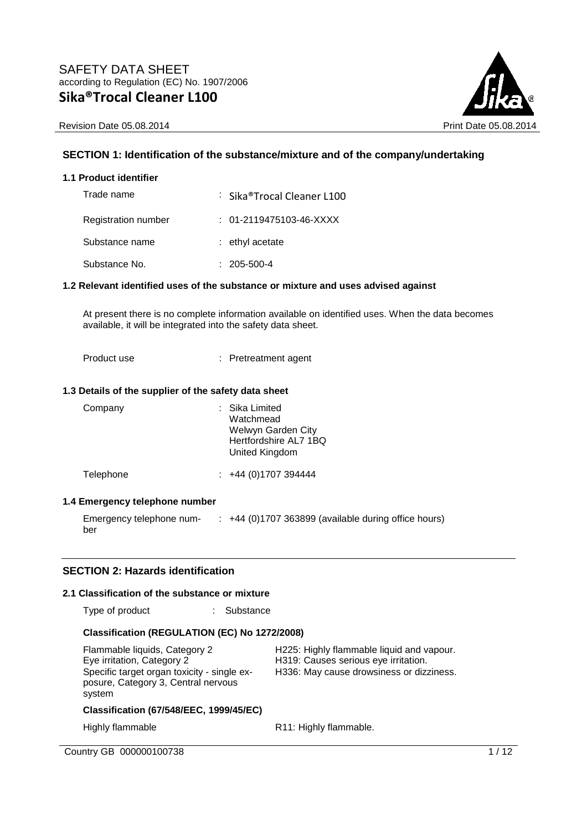



## **SECTION 1: Identification of the substance/mixture and of the company/undertaking**

#### **1.1 Product identifier**

| Trade name          | : Sika®Trocal Cleaner L100 |
|---------------------|----------------------------|
| Registration number | $: 01-2119475103-46-XXXX$  |
| Substance name      | $:$ ethyl acetate          |
| Substance No.       | $: 205 - 500 - 4$          |

#### **1.2 Relevant identified uses of the substance or mixture and uses advised against**

At present there is no complete information available on identified uses. When the data becomes available, it will be integrated into the safety data sheet.

Product use : Pretreatment agent

#### **1.3 Details of the supplier of the safety data sheet**

| Company   | : Sika Limited<br>Watchmead<br>Welwyn Garden City<br>Hertfordshire AL7 1BQ<br>United Kingdom |
|-----------|----------------------------------------------------------------------------------------------|
| Telephone | $\div$ +44 (0)1707 394444                                                                    |

## **1.4 Emergency telephone number**

Emergency telephone num-: +44 (0)1707 363899 (available during office hours) ber

#### **SECTION 2: Hazards identification**

#### **2.1 Classification of the substance or mixture**

Type of product : Substance

## **Classification (REGULATION (EC) No 1272/2008)**

| Flammable liquids, Category 2<br>Eye irritation, Category 2<br>Specific target organ toxicity - single ex-<br>posure, Category 3, Central nervous<br>system | H225: Highly flammable liquid and vapour.<br>H319: Causes serious eye irritation.<br>H336: May cause drowsiness or dizziness. |
|-------------------------------------------------------------------------------------------------------------------------------------------------------------|-------------------------------------------------------------------------------------------------------------------------------|
| <b>Classification (67/548/EEC, 1999/45/EC)</b>                                                                                                              |                                                                                                                               |
| Highly flammable                                                                                                                                            | R11: Highly flammable.                                                                                                        |

Country GB 000000100738 1/12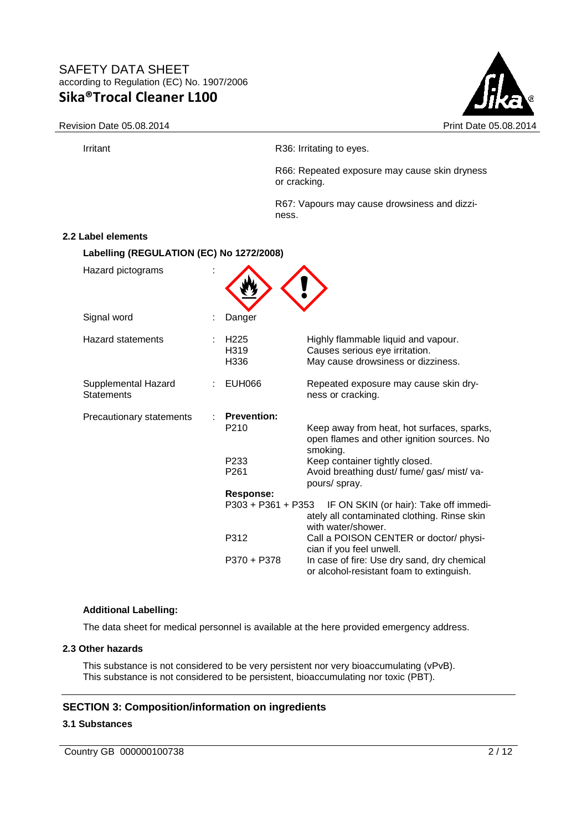



Irritant **Irritant** R36: Irritating to eyes.

R66: Repeated exposure may cause skin dryness or cracking.

R67: Vapours may cause drowsiness and dizziness.

#### **2.2 Label elements**

**Labelling (REGULATION (EC) No 1272/2008)** 

| Hazard pictograms                        |                                               |                                                                                                             |
|------------------------------------------|-----------------------------------------------|-------------------------------------------------------------------------------------------------------------|
| Signal word                              | Danger                                        |                                                                                                             |
| <b>Hazard statements</b>                 | H <sub>225</sub><br>H <sub>3</sub> 19<br>H336 | Highly flammable liquid and vapour.<br>Causes serious eye irritation.<br>May cause drowsiness or dizziness. |
| Supplemental Hazard<br><b>Statements</b> | <b>EUH066</b>                                 | Repeated exposure may cause skin dry-<br>ness or cracking.                                                  |
| Precautionary statements                 | <b>Prevention:</b>                            |                                                                                                             |
|                                          | P <sub>210</sub>                              | Keep away from heat, hot surfaces, sparks,<br>open flames and other ignition sources. No<br>smoking.        |
|                                          | P <sub>233</sub>                              | Keep container tightly closed.                                                                              |
|                                          | P <sub>261</sub>                              | Avoid breathing dust/ fume/ gas/ mist/ va-<br>pours/ spray.                                                 |
|                                          | <b>Response:</b>                              |                                                                                                             |
|                                          | P303 + P361 + P353                            | IF ON SKIN (or hair): Take off immedi-<br>ately all contaminated clothing. Rinse skin<br>with water/shower. |
|                                          | P312                                          | Call a POISON CENTER or doctor/ physi-<br>cian if you feel unwell.                                          |
|                                          | P370 + P378                                   | In case of fire: Use dry sand, dry chemical<br>or alcohol-resistant foam to extinguish.                     |

#### **Additional Labelling:**

The data sheet for medical personnel is available at the here provided emergency address.

#### **2.3 Other hazards**

This substance is not considered to be very persistent nor very bioaccumulating (vPvB). This substance is not considered to be persistent, bioaccumulating nor toxic (PBT).

#### **SECTION 3: Composition/information on ingredients**

## **3.1 Substances**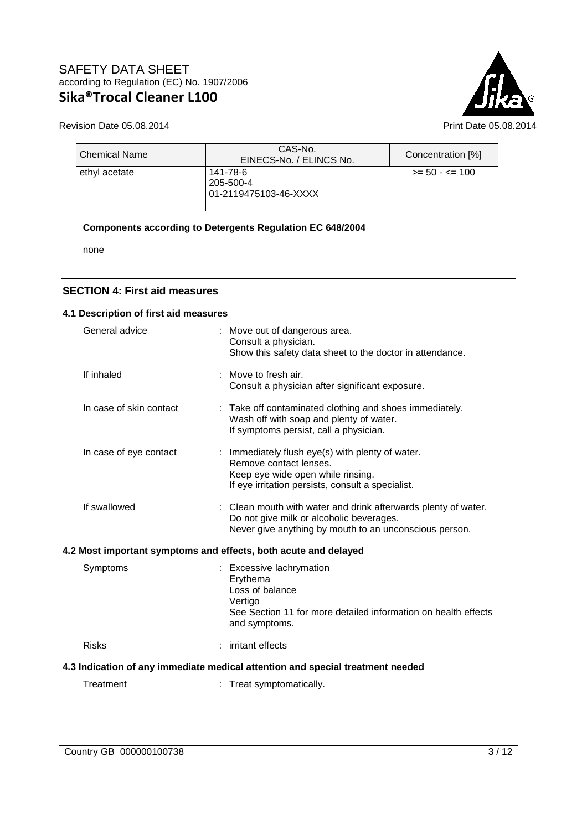

Revision Date 05.08.2014 **Print Date 05.08.2014** 

| <b>Chemical Name</b> | CAS-No.<br>EINECS-No. / ELINCS No.             | Concentration [%] |
|----------------------|------------------------------------------------|-------------------|
| ethyl acetate        | 141-78-6<br>205-500-4<br>01-2119475103-46-XXXX | $>= 50 - 5 = 100$ |

#### **Components according to Detergents Regulation EC 648/2004**

none

#### **SECTION 4: First aid measures**

#### **4.1 Description of first aid measures**

| General advice                                                                 |  | : Move out of dangerous area.<br>Consult a physician.<br>Show this safety data sheet to the doctor in attendance.                                                    |  |  |
|--------------------------------------------------------------------------------|--|----------------------------------------------------------------------------------------------------------------------------------------------------------------------|--|--|
| If inhaled                                                                     |  | : Move to fresh air.<br>Consult a physician after significant exposure.                                                                                              |  |  |
| In case of skin contact                                                        |  | : Take off contaminated clothing and shoes immediately.<br>Wash off with soap and plenty of water.<br>If symptoms persist, call a physician.                         |  |  |
| In case of eye contact                                                         |  | : Immediately flush eye(s) with plenty of water.<br>Remove contact lenses.<br>Keep eye wide open while rinsing.<br>If eye irritation persists, consult a specialist. |  |  |
| If swallowed                                                                   |  | : Clean mouth with water and drink afterwards plenty of water.<br>Do not give milk or alcoholic beverages.<br>Never give anything by mouth to an unconscious person. |  |  |
|                                                                                |  | 4.2 Most important symptoms and effects, both acute and delayed                                                                                                      |  |  |
| Symptoms                                                                       |  | : Excessive lachrymation<br>Erythema<br>Loss of balance<br>Vertigo<br>See Section 11 for more detailed information on health effects<br>and symptoms.                |  |  |
| <b>Risks</b>                                                                   |  | : irritant effects                                                                                                                                                   |  |  |
| 4.3 Indication of any immediate medical attention and special treatment needed |  |                                                                                                                                                                      |  |  |
| Treatment                                                                      |  | : Treat symptomatically.                                                                                                                                             |  |  |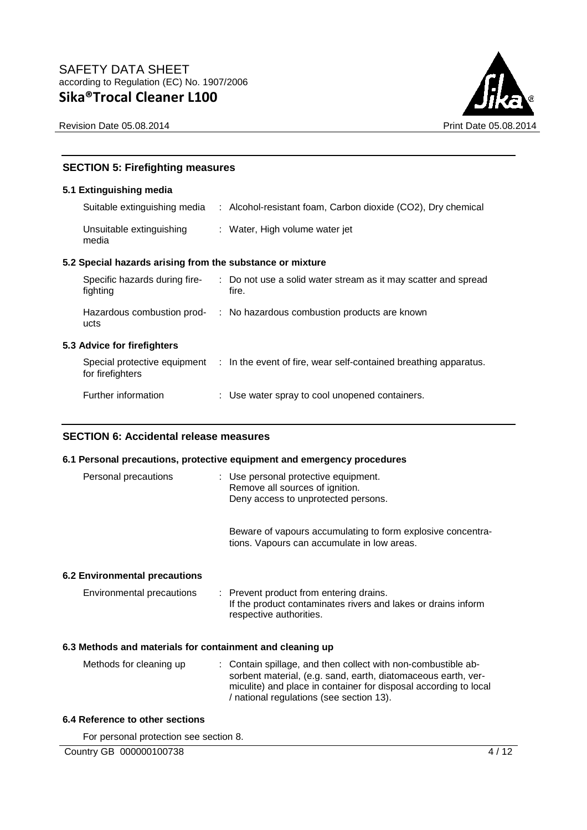



## **SECTION 5: Firefighting measures**

#### **5.1 Extinguishing media**

| Suitable extinguishing media                              | : Alcohol-resistant foam, Carbon dioxide (CO2), Dry chemical                                  |
|-----------------------------------------------------------|-----------------------------------------------------------------------------------------------|
| Unsuitable extinguishing<br>media                         | : Water, High volume water jet                                                                |
| 5.2 Special hazards arising from the substance or mixture |                                                                                               |
| Specific hazards during fire-<br>fighting                 | : Do not use a solid water stream as it may scatter and spread<br>fire.                       |
| ucts                                                      | Hazardous combustion prod- : No hazardous combustion products are known                       |
| 5.3 Advice for firefighters                               |                                                                                               |
| for firefighters                                          | Special protective equipment : In the event of fire, wear self-contained breathing apparatus. |
| Further information                                       | : Use water spray to cool unopened containers.                                                |

## **SECTION 6: Accidental release measures**

#### **6.1 Personal precautions, protective equipment and emergency procedures**

| Personal precautions          | : Use personal protective equipment.<br>Remove all sources of ignition.<br>Deny access to unprotected persons.                      |
|-------------------------------|-------------------------------------------------------------------------------------------------------------------------------------|
|                               | Beware of vapours accumulating to form explosive concentra-<br>tions. Vapours can accumulate in low areas.                          |
| 6.2 Environmental precautions |                                                                                                                                     |
| Environmental precautions     | : Prevent product from entering drains.<br>If the product contaminates rivers and lakes or drains inform<br>respective authorities. |

#### **6.3 Methods and materials for containment and cleaning up**

| Methods for cleaning up | : Contain spillage, and then collect with non-combustible ab-    |
|-------------------------|------------------------------------------------------------------|
|                         | sorbent material, (e.g. sand, earth, diatomaceous earth, ver-    |
|                         | miculite) and place in container for disposal according to local |
|                         | / national regulations (see section 13).                         |

#### **6.4 Reference to other sections**

For personal protection see section 8.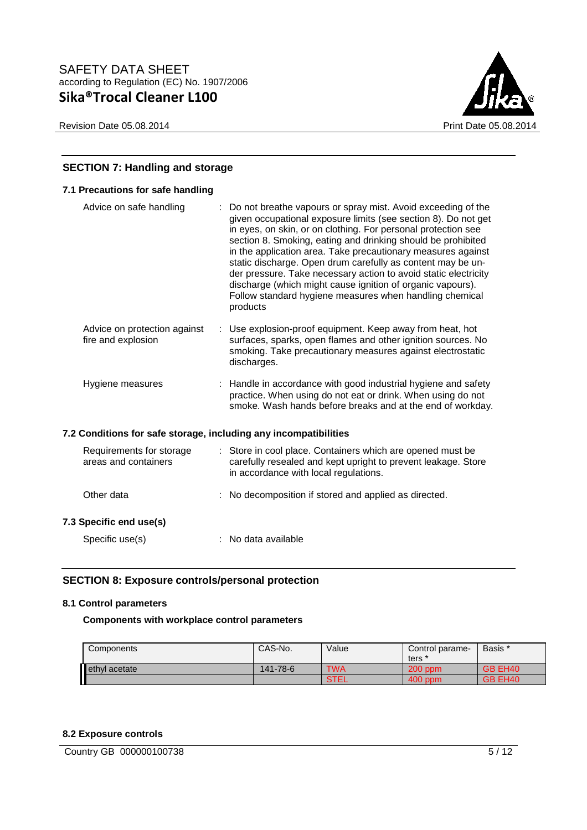Revision Date 05.08.2014 **Print Date 05.08.2014** 



## **SECTION 7: Handling and storage**

| 7.1 Precautions for safe handling                                |    |                                                                                                                                                                                                                                                                                                                                                                                                                                                                                                                                                                                                        |
|------------------------------------------------------------------|----|--------------------------------------------------------------------------------------------------------------------------------------------------------------------------------------------------------------------------------------------------------------------------------------------------------------------------------------------------------------------------------------------------------------------------------------------------------------------------------------------------------------------------------------------------------------------------------------------------------|
| Advice on safe handling                                          | ÷. | Do not breathe vapours or spray mist. Avoid exceeding of the<br>given occupational exposure limits (see section 8). Do not get<br>in eyes, on skin, or on clothing. For personal protection see<br>section 8. Smoking, eating and drinking should be prohibited<br>in the application area. Take precautionary measures against<br>static discharge. Open drum carefully as content may be un-<br>der pressure. Take necessary action to avoid static electricity<br>discharge (which might cause ignition of organic vapours).<br>Follow standard hygiene measures when handling chemical<br>products |
| Advice on protection against<br>fire and explosion               |    | : Use explosion-proof equipment. Keep away from heat, hot<br>surfaces, sparks, open flames and other ignition sources. No<br>smoking. Take precautionary measures against electrostatic<br>discharges.                                                                                                                                                                                                                                                                                                                                                                                                 |
| Hygiene measures                                                 |    | : Handle in accordance with good industrial hygiene and safety<br>practice. When using do not eat or drink. When using do not<br>smoke. Wash hands before breaks and at the end of workday.                                                                                                                                                                                                                                                                                                                                                                                                            |
| 7.2 Conditions for safe storage, including any incompatibilities |    |                                                                                                                                                                                                                                                                                                                                                                                                                                                                                                                                                                                                        |
| Requirements for storage<br>areas and containers                 |    | : Store in cool place. Containers which are opened must be<br>carefully resealed and kept upright to prevent leakage. Store<br>in accordance with local regulations.                                                                                                                                                                                                                                                                                                                                                                                                                                   |
| Other data                                                       |    | : No decomposition if stored and applied as directed.                                                                                                                                                                                                                                                                                                                                                                                                                                                                                                                                                  |
| 7.3 Specific end use(s)                                          |    |                                                                                                                                                                                                                                                                                                                                                                                                                                                                                                                                                                                                        |
| Specific use(s)                                                  |    | : No data available                                                                                                                                                                                                                                                                                                                                                                                                                                                                                                                                                                                    |

## **SECTION 8: Exposure controls/personal protection**

## **8.1 Control parameters**

## **Components with workplace control parameters**

| Components    | CAS-No.  | Value      | Control parame-<br>ters | Basis *             |
|---------------|----------|------------|-------------------------|---------------------|
| ethyl acetate | 141-78-6 | <b>TWA</b> | $200$ ppm               | GB EH40             |
| H             |          | STEL       | $400$ ppm               | GB EH <sub>40</sub> |

## **8.2 Exposure controls**

Country GB 000000100738 5/12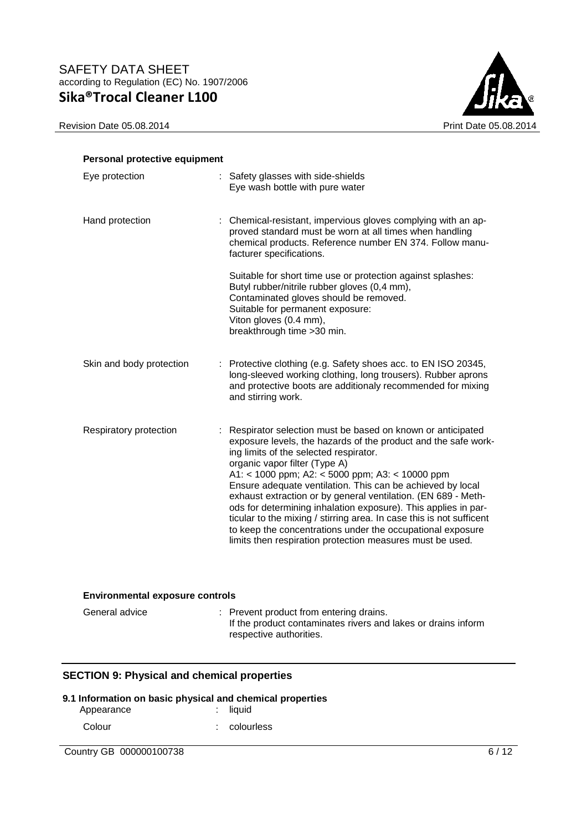Revision Date 05.08.2014 Print Date 05.08.2014



| Personal protective equipment |                                                                                                                                                                                                                                                                                                                                                                                                                                                                                                                                                                                                                                                                  |
|-------------------------------|------------------------------------------------------------------------------------------------------------------------------------------------------------------------------------------------------------------------------------------------------------------------------------------------------------------------------------------------------------------------------------------------------------------------------------------------------------------------------------------------------------------------------------------------------------------------------------------------------------------------------------------------------------------|
| Eye protection                | : Safety glasses with side-shields<br>Eye wash bottle with pure water                                                                                                                                                                                                                                                                                                                                                                                                                                                                                                                                                                                            |
| Hand protection               | : Chemical-resistant, impervious gloves complying with an ap-<br>proved standard must be worn at all times when handling<br>chemical products. Reference number EN 374. Follow manu-<br>facturer specifications.                                                                                                                                                                                                                                                                                                                                                                                                                                                 |
|                               | Suitable for short time use or protection against splashes:<br>Butyl rubber/nitrile rubber gloves (0,4 mm),<br>Contaminated gloves should be removed.<br>Suitable for permanent exposure:<br>Viton gloves (0.4 mm),<br>breakthrough time > 30 min.                                                                                                                                                                                                                                                                                                                                                                                                               |
| Skin and body protection      | : Protective clothing (e.g. Safety shoes acc. to EN ISO 20345,<br>long-sleeved working clothing, long trousers). Rubber aprons<br>and protective boots are additionaly recommended for mixing<br>and stirring work.                                                                                                                                                                                                                                                                                                                                                                                                                                              |
| Respiratory protection        | : Respirator selection must be based on known or anticipated<br>exposure levels, the hazards of the product and the safe work-<br>ing limits of the selected respirator.<br>organic vapor filter (Type A)<br>A1: < 1000 ppm; A2: < 5000 ppm; A3: < 10000 ppm<br>Ensure adequate ventilation. This can be achieved by local<br>exhaust extraction or by general ventilation. (EN 689 - Meth-<br>ods for determining inhalation exposure). This applies in par-<br>ticular to the mixing / stirring area. In case this is not sufficent<br>to keep the concentrations under the occupational exposure<br>limits then respiration protection measures must be used. |

## **Environmental exposure controls**

| General advice | : Prevent product from entering drains.<br>If the product contaminates rivers and lakes or drains inform<br>respective authorities. |
|----------------|-------------------------------------------------------------------------------------------------------------------------------------|
|                |                                                                                                                                     |

## **SECTION 9: Physical and chemical properties**

## **9.1 Information on basic physical and chemical properties**

| Appearance |  | $:$ liquid     |
|------------|--|----------------|
| Colour     |  | $:$ colourless |

Country GB 000000100738 6/12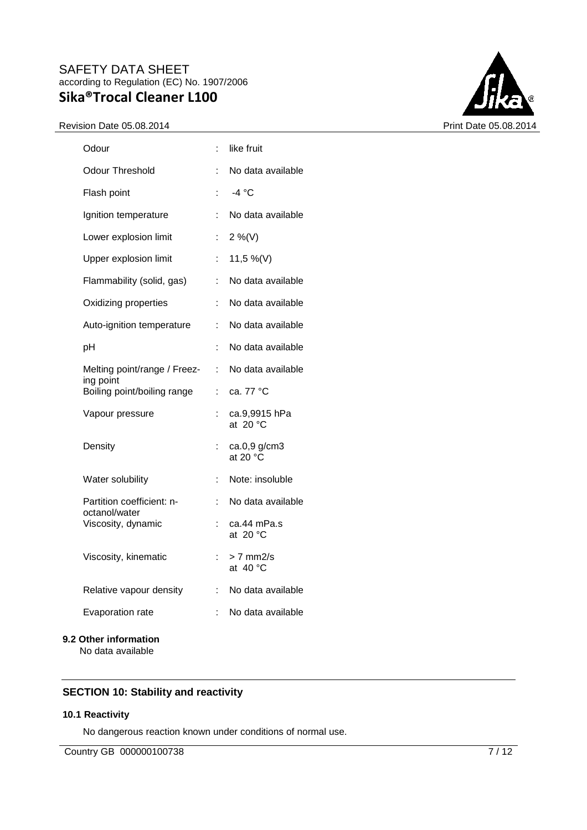#### Revision Date 05.08.2014 **Print Date 05.08.2014**



| Odour                                      | ÷  | like fruit                        |
|--------------------------------------------|----|-----------------------------------|
| Odour Threshold                            |    | No data available                 |
| Flash point                                |    | -4 °C                             |
| Ignition temperature                       |    | No data available                 |
| Lower explosion limit                      | t. | $2\%$ (V)                         |
| Upper explosion limit                      | ÷. | 11,5 %(V)                         |
| Flammability (solid, gas)                  | ÷. | No data available                 |
| Oxidizing properties                       | t. | No data available                 |
| Auto-ignition temperature                  | t  | No data available                 |
| рH                                         |    | No data available                 |
| Melting point/range / Freez-<br>ing point  | t. | No data available                 |
| Boiling point/boiling range                | ÷  | ca. 77 °C                         |
| Vapour pressure                            |    | ca.9,9915 hPa<br>at $20 °C$       |
| Density                                    |    | ca.0,9 g/cm3<br>at 20 $\degree$ C |
| Water solubility                           | ÷  | Note: insoluble                   |
| Partition coefficient: n-<br>octanol/water | t. | No data available                 |
| Viscosity, dynamic                         |    | ca.44 mPa.s<br>at $20 °C$         |
| Viscosity, kinematic                       |    | > 7 mm2/s<br>at 40 °C             |
| Relative vapour density                    | ÷  | No data available                 |
| Evaporation rate                           | t. | No data available                 |
| 9.2 Other information                      |    |                                   |

No data available

# **SECTION 10: Stability and reactivity**

#### **10.1 Reactivity**

No dangerous reaction known under conditions of normal use.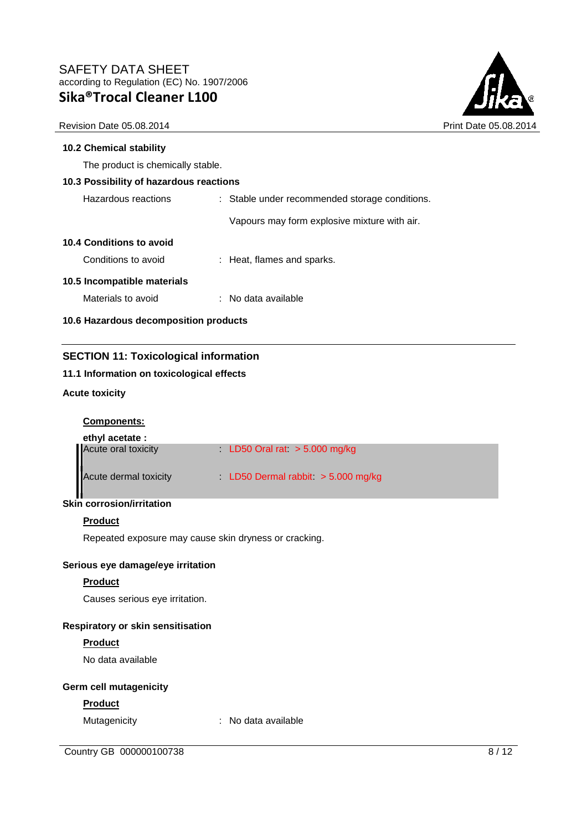

Revision Date 05.08.2014 **Print Date 05.08.2014** Print Date 05.08.2014

#### **10.2 Chemical stability**

The product is chemically stable.

## **10.3 Possibility of hazardous reactions**

| Hazardous reactions | Stable under recommended storage conditions. |
|---------------------|----------------------------------------------|
|---------------------|----------------------------------------------|

Vapours may form explosive mixture with air.

#### **10.4 Conditions to avoid**

| Conditions to avoid | : Heat, flames and sparks. |
|---------------------|----------------------------|
|---------------------|----------------------------|

#### **10.5 Incompatible materials**

| No data available |
|-------------------|
|                   |

**10.6 Hazardous decomposition products** 

## **SECTION 11: Toxicological information**

#### **11.1 Information on toxicological effects**

## **Acute toxicity**

## **Components:**

| ethyl acetate :       |                                    |
|-----------------------|------------------------------------|
| Acute oral toxicity   | LD50 Oral rat $>$ 5.000 mg/kg      |
| Acute dermal toxicity | LD50 Dermal rabbit $>$ 5.000 mg/kg |

# **Skin corrosion/irritation**

#### **Product**

Repeated exposure may cause skin dryness or cracking.

#### **Serious eye damage/eye irritation**

## **Product**

Causes serious eye irritation.

#### **Respiratory or skin sensitisation**

## **Product**

No data available

## **Germ cell mutagenicity**

#### **Product**

Mutagenicity : No data available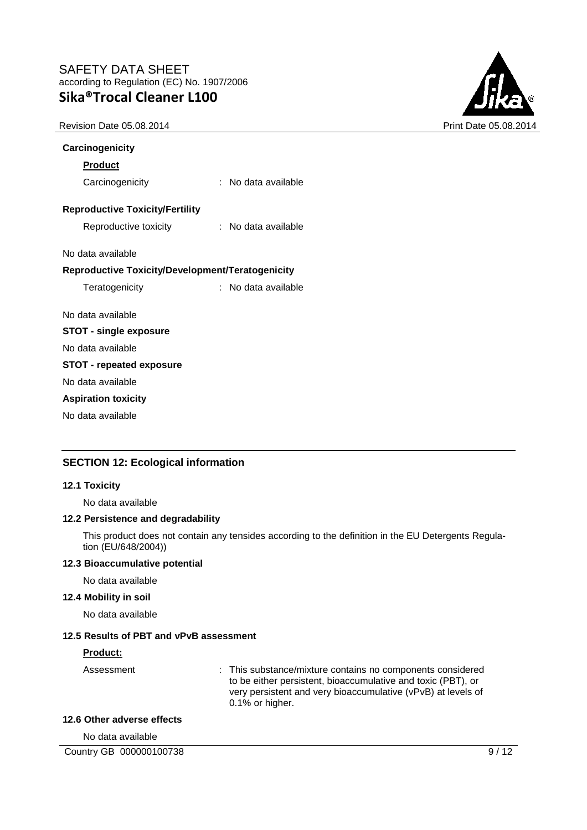Revision Date 05.08.2014 **Print Date 05.08.2014** Print Date 05.08.2014



| Carcinogenicity                                  |                       |
|--------------------------------------------------|-----------------------|
| <b>Product</b>                                   |                       |
| Carcinogenicity                                  | : No data available   |
| <b>Reproductive Toxicity/Fertility</b>           |                       |
| Reproductive toxicity                            | $:$ No data available |
| No data available                                |                       |
| Reproductive Toxicity/Development/Teratogenicity |                       |
| Teratogenicity                                   | : No data available   |
| No data available                                |                       |
| <b>STOT - single exposure</b>                    |                       |
| No data available                                |                       |
| <b>STOT - repeated exposure</b>                  |                       |
| No data available                                |                       |
| <b>Aspiration toxicity</b>                       |                       |
| No data available                                |                       |

## **SECTION 12: Ecological information**

#### **12.1 Toxicity**

No data available

#### **12.2 Persistence and degradability**

This product does not contain any tensides according to the definition in the EU Detergents Regulation (EU/648/2004))

#### **12.3 Bioaccumulative potential**

No data available

#### **12.4 Mobility in soil**

No data available

#### **12.5 Results of PBT and vPvB assessment**

#### **Product:**

Assessment : This substance/mixture contains no components considered to be either persistent, bioaccumulative and toxic (PBT), or very persistent and very bioaccumulative (vPvB) at levels of 0.1% or higher.

#### **12.6 Other adverse effects**

No data available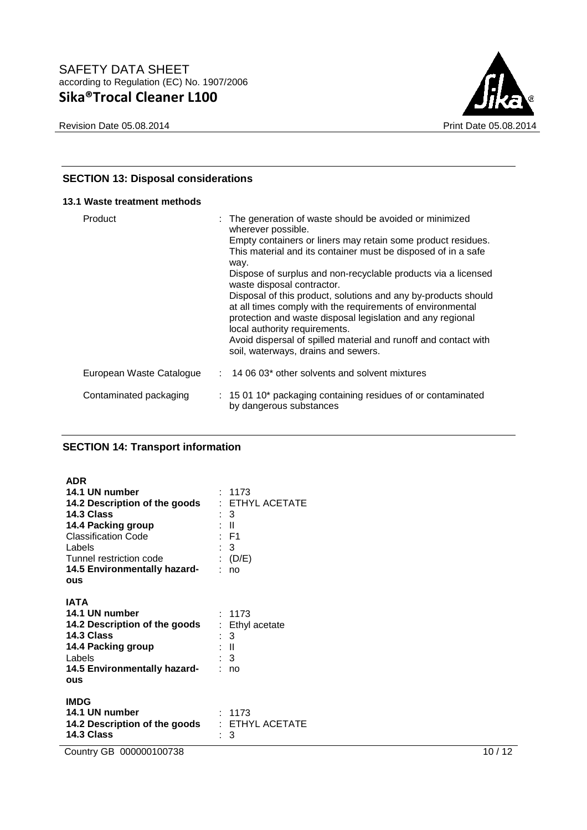



## **SECTION 13: Disposal considerations**

## **13.1 Waste treatment methods**

| Product                  | : The generation of waste should be avoided or minimized<br>wherever possible.<br>Empty containers or liners may retain some product residues.<br>This material and its container must be disposed of in a safe<br>way.<br>Dispose of surplus and non-recyclable products via a licensed<br>waste disposal contractor.<br>Disposal of this product, solutions and any by-products should<br>at all times comply with the requirements of environmental<br>protection and waste disposal legislation and any regional<br>local authority requirements.<br>Avoid dispersal of spilled material and runoff and contact with<br>soil, waterways, drains and sewers. |
|--------------------------|-----------------------------------------------------------------------------------------------------------------------------------------------------------------------------------------------------------------------------------------------------------------------------------------------------------------------------------------------------------------------------------------------------------------------------------------------------------------------------------------------------------------------------------------------------------------------------------------------------------------------------------------------------------------|
| European Waste Catalogue | $: 140603*$ other solvents and solvent mixtures                                                                                                                                                                                                                                                                                                                                                                                                                                                                                                                                                                                                                 |
| Contaminated packaging   | : 15 01 10* packaging containing residues of or contaminated<br>by dangerous substances                                                                                                                                                                                                                                                                                                                                                                                                                                                                                                                                                                         |

#### **SECTION 14: Transport information**

| <b>ADR</b>                    |                   |
|-------------------------------|-------------------|
| 14.1 UN number                | : 1173            |
| 14.2 Description of the goods | : ETHYL ACETATE   |
| 14.3 Class                    | : 3               |
| 14.4 Packing group            | : II              |
| <b>Classification Code</b>    | : F1              |
| Labels                        | : 3               |
| Tunnel restriction code       | (D/E)             |
| 14.5 Environmentally hazard-  | no                |
| ous                           |                   |
|                               |                   |
| IATA                          |                   |
| 14.1 UN number                | : 1173            |
| 14.2 Description of the goods | : Ethyl acetate   |
| 14.3 Class                    | : 3               |
| 14.4 Packing group            | : II              |
| Labels                        | $\therefore$ 3    |
| 14.5 Environmentally hazard-  | no                |
| <b>ous</b>                    |                   |
|                               |                   |
| <b>IMDG</b>                   |                   |
| 14.1 UN number                | : 1173            |
| 14.2 Description of the goods | $:$ ETHYL ACETATE |
| 14.3 Class                    | 3                 |

Country GB 000000100738 10 / 12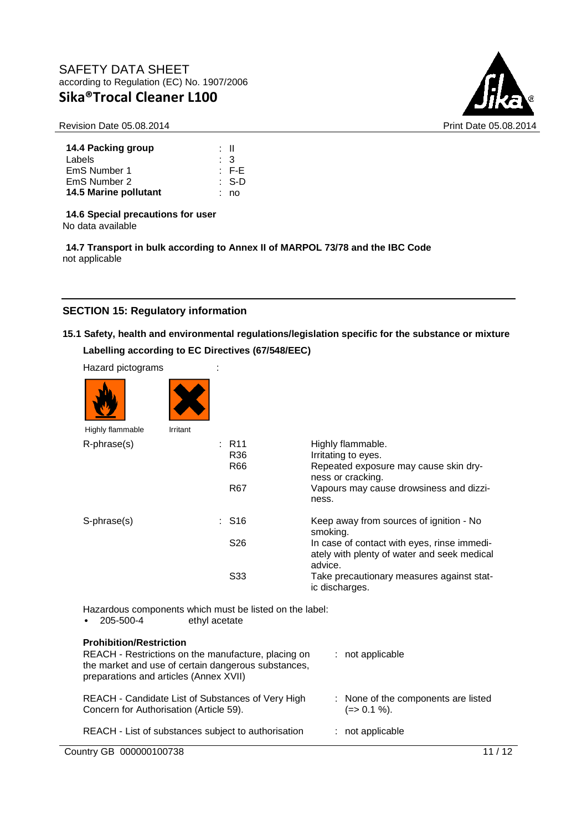Revision Date 05.08.2014 **Print Date 05.08.2014** Print Date 05.08.2014



| 14.4 Packing group    | ∙ II             |
|-----------------------|------------------|
| Labels                | $\cdot$ 3        |
| EmS Number 1          | $\pm$ F-E        |
| EmS Number 2          | $\therefore$ S-D |
| 14.5 Marine pollutant | : no             |

**14.6 Special precautions for user**

No data available

**14.7 Transport in bulk according to Annex II of MARPOL 73/78 and the IBC Code** not applicable

## **SECTION 15: Regulatory information**

# **15.1 Safety, health and environmental regulations/legislation specific for the substance or mixture Labelling according to EC Directives (67/548/EEC)**

| Hazard pictograms                                                                 |               |                     |                                                                                                        |
|-----------------------------------------------------------------------------------|---------------|---------------------|--------------------------------------------------------------------------------------------------------|
|                                                                                   |               |                     |                                                                                                        |
| Highly flammable                                                                  | Irritant      |                     |                                                                                                        |
| R-phrase(s)                                                                       |               | : R11<br>R36<br>R66 | Highly flammable.<br>Irritating to eyes.<br>Repeated exposure may cause skin dry-<br>ness or cracking. |
|                                                                                   |               | R67                 | Vapours may cause drowsiness and dizzi-<br>ness.                                                       |
| S-phrase(s)                                                                       |               | : S16               | Keep away from sources of ignition - No<br>smoking.                                                    |
|                                                                                   |               | S <sub>26</sub>     | In case of contact with eyes, rinse immedi-<br>ately with plenty of water and seek medical<br>advice.  |
|                                                                                   |               | S33                 | Take precautionary measures against stat-<br>ic discharges.                                            |
| Hazardous components which must be listed on the label:<br>205-500-4<br>$\bullet$ | ethyl acetate |                     |                                                                                                        |

Country GB 000000100738 11 / 12 **Prohibition/Restriction**  REACH - Restrictions on the manufacture, placing on the market and use of certain dangerous substances, preparations and articles (Annex XVII) : not applicable REACH - Candidate List of Substances of Very High Concern for Authorisation (Article 59). : None of the components are listed  $(=> 0.1 \%)$ . REACH - List of substances subject to authorisation : not applicable